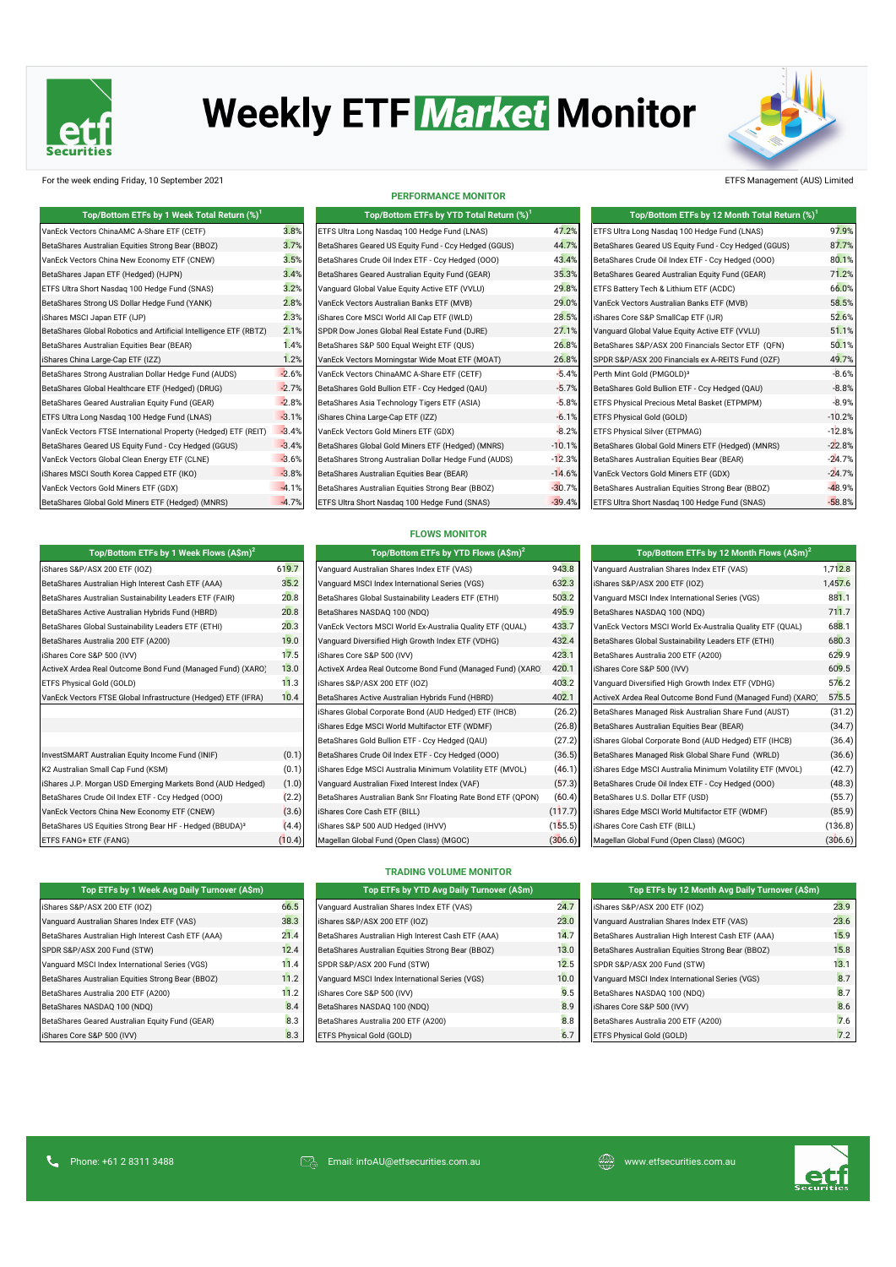

# **Weekly ETF Market Monitor**



### For the week ending Friday, 10 September 2021 ETFS Management (AUS) Limited

| Top/Bottom ETFs by 1 Week Total Return (%) <sup>1</sup>           |         | Top/Bottom ETFs by YTD Total Return (%) <sup>1</sup>  |          | Top/Bottom ETFs by 12 Month Total Return (%) <sup>1</sup> |          |
|-------------------------------------------------------------------|---------|-------------------------------------------------------|----------|-----------------------------------------------------------|----------|
| VanEck Vectors ChinaAMC A-Share ETF (CETF)                        | 3.8%    | ETFS Ultra Long Nasdaq 100 Hedge Fund (LNAS)          | 47.2%    | ETFS Ultra Long Nasdaq 100 Hedge Fund (LNAS)              | 97.9%    |
| BetaShares Australian Equities Strong Bear (BBOZ)                 | 3.7%    | BetaShares Geared US Equity Fund - Ccy Hedged (GGUS)  | 44.7%    | BetaShares Geared US Equity Fund - Ccy Hedged (GGUS)      | 87.7%    |
| VanEck Vectors China New Economy ETF (CNEW)                       | 3.5%    | BetaShares Crude Oil Index ETF - Ccy Hedged (000)     | 43.4%    | BetaShares Crude Oil Index ETF - Ccy Hedged (000)         | 80.1%    |
| BetaShares Japan ETF (Hedged) (HJPN)                              | 3.4%    | BetaShares Geared Australian Equity Fund (GEAR)       | 35.3%    | BetaShares Geared Australian Equity Fund (GEAR)           | 71.2%    |
| ETFS Ultra Short Nasdag 100 Hedge Fund (SNAS)                     | 3.2%    | Vanguard Global Value Equity Active ETF (VVLU)        | 29.8%    | ETFS Battery Tech & Lithium ETF (ACDC)                    | 66.0%    |
| BetaShares Strong US Dollar Hedge Fund (YANK)                     | 2.8%    | VanEck Vectors Australian Banks ETF (MVB)             | 29.0%    | VanEck Vectors Australian Banks ETF (MVB)                 | 58.5%    |
| iShares MSCI Japan ETF (IJP)                                      | 2.3%    | iShares Core MSCI World All Cap ETF (IWLD)            | 28.5%    | iShares Core S&P SmallCap ETF (IJR)                       | 52.6%    |
| BetaShares Global Robotics and Artificial Intelligence ETF (RBTZ) | 2.1%    | SPDR Dow Jones Global Real Estate Fund (DJRE)         | 27.1%    | Vanquard Global Value Equity Active ETF (VVLU)            | 51.1%    |
| BetaShares Australian Equities Bear (BEAR)                        | 1.4%    | BetaShares S&P 500 Equal Weight ETF (QUS)             | 26.8%    | BetaShares S&P/ASX 200 Financials Sector ETF (QFN)        | 50.1%    |
| iShares China Large-Cap ETF (IZZ)                                 | 1.2%    | VanEck Vectors Morningstar Wide Moat ETF (MOAT)       | 26.8%    | SPDR S&P/ASX 200 Financials ex A-REITS Fund (OZF)         | 49.7%    |
| BetaShares Strong Australian Dollar Hedge Fund (AUDS)             | $-2.6%$ | VanEck Vectors ChinaAMC A-Share ETF (CETF)            | $-5.4%$  | Perth Mint Gold (PMGOLD) <sup>3</sup>                     | $-8.6%$  |
| BetaShares Global Healthcare ETF (Hedged) (DRUG)                  | $-2.7%$ | BetaShares Gold Bullion ETF - Ccy Hedged (QAU)        | $-5.7%$  | BetaShares Gold Bullion ETF - Ccy Hedged (QAU)            | $-8.8%$  |
| BetaShares Geared Australian Equity Fund (GEAR)                   | $-2.8%$ | BetaShares Asia Technology Tigers ETF (ASIA)          | $-5.8%$  | ETFS Physical Precious Metal Basket (ETPMPM)              | $-8.9%$  |
| ETFS Ultra Long Nasdag 100 Hedge Fund (LNAS)                      | $-3.1%$ | iShares China Large-Cap ETF (IZZ)                     | $-6.1%$  | ETFS Physical Gold (GOLD)                                 | $-10.2%$ |
| VanEck Vectors FTSE International Property (Hedged) ETF (REIT)    | $-3.4%$ | VanEck Vectors Gold Miners ETF (GDX)                  | $-8.2%$  | ETFS Physical Silver (ETPMAG)                             | $-12.8%$ |
| BetaShares Geared US Equity Fund - Ccy Hedged (GGUS)              | $-3.4%$ | BetaShares Global Gold Miners ETF (Hedged) (MNRS)     | $-10.1%$ | BetaShares Global Gold Miners ETF (Hedged) (MNRS)         | $-22.8%$ |
| VanEck Vectors Global Clean Energy ETF (CLNE)                     | $-3.6%$ | BetaShares Strong Australian Dollar Hedge Fund (AUDS) | $-12.3%$ | BetaShares Australian Equities Bear (BEAR)                | $-24.7%$ |
| iShares MSCI South Korea Capped ETF (IKO)                         | $-3.8%$ | BetaShares Australian Equities Bear (BEAR)            | $-14.6%$ | VanEck Vectors Gold Miners ETF (GDX)                      | $-24.7%$ |
| VanEck Vectors Gold Miners ETF (GDX)                              | $-4.1%$ | BetaShares Australian Equities Strong Bear (BBOZ)     | $-30.7%$ | BetaShares Australian Equities Strong Bear (BBOZ)         | $-48.9%$ |
| BetaShares Global Gold Miners ETF (Hedged) (MNRS)                 | $-4.7%$ | ETFS Ultra Short Nasdaq 100 Hedge Fund (SNAS)         | $-39.4%$ | ETFS Ultra Short Nasdag 100 Hedge Fund (SNAS)             | $-58.8%$ |

**Top/Bottom ETFs by 1 Week Flows (A\$m)<sup>2</sup> Top/Bottom ETFs by YTD Flows (A\$m)<sup>2</sup> Top/Bottom ETFs by 12 Month Flows (A\$m)<sup>2</sup>**

### **PERFORMANCE MONITOR**

| Top/Bottom ETFs by 1 Week Total Return (%) <sup>1</sup> |         | Top/Bottom ETFs by YTD Total Return (%) <sup>1</sup>  |          | Top/Bottom ETFs by 12 Month Total Return (%)         |
|---------------------------------------------------------|---------|-------------------------------------------------------|----------|------------------------------------------------------|
| tors ChinaAMC A-Share ETF (CETF)                        | 3.8%    | ETFS Ultra Long Nasdag 100 Hedge Fund (LNAS)          | 47.2%    | ETFS Ultra Long Nasdag 100 Hedge Fund (LNAS)         |
| Australian Equities Strong Bear (BBOZ)                  | 3.7%    | BetaShares Geared US Equity Fund - Ccy Hedged (GGUS)  | 44.7%    | BetaShares Geared US Equity Fund - Ccy Hedged (GGUS) |
| tors China New Economy ETF (CNEW)                       | 3.5%    | BetaShares Crude Oil Index ETF - Ccy Hedged (000)     | 43.4%    | BetaShares Crude Oil Index ETF - Ccy Hedged (000)    |
| Japan ETF (Hedged) (HJPN)                               | 3.4%    | BetaShares Geared Australian Equity Fund (GEAR)       | 35.3%    | BetaShares Geared Australian Equity Fund (GEAR)      |
| Short Nasdag 100 Hedge Fund (SNAS)                      | 3.2%    | Vanguard Global Value Equity Active ETF (VVLU)        | 29.8%    | ETFS Battery Tech & Lithium ETF (ACDC)               |
| Strong US Dollar Hedge Fund (YANK)                      | 2.8%    | VanEck Vectors Australian Banks ETF (MVB)             | 29.0%    | VanEck Vectors Australian Banks ETF (MVB)            |
| CI Japan ETF (IJP)                                      | 2.3%    | iShares Core MSCI World All Cap ETF (IWLD)            | 28.5%    | iShares Core S&P SmallCap ETF (IJR)                  |
| Global Robotics and Artificial Intelligence ETF (RBTZ)  | 2.1%    | SPDR Dow Jones Global Real Estate Fund (DJRE)         | 27.1%    | Vanguard Global Value Equity Active ETF (VVLU)       |
| Australian Equities Bear (BEAR)                         | 1.4%    | BetaShares S&P 500 Equal Weight ETF (QUS)             | 26.8%    | BetaShares S&P/ASX 200 Financials Sector ETF (QFN)   |
| a Large-Cap ETF (IZZ)                                   | 1.2%    | VanEck Vectors Morningstar Wide Moat ETF (MOAT)       | 26.8%    | SPDR S&P/ASX 200 Financials ex A-REITS Fund (OZF)    |
| Strong Australian Dollar Hedge Fund (AUDS)              | $-2.6%$ | VanEck Vectors ChinaAMC A-Share ETF (CETF)            | $-5.4%$  | Perth Mint Gold (PMGOLD) <sup>3</sup>                |
| Global Healthcare ETF (Hedged) (DRUG)                   | $-2.7%$ | BetaShares Gold Bullion ETF - Ccy Hedged (QAU)        | $-5.7%$  | BetaShares Gold Bullion ETF - Ccy Hedged (QAU)       |
| Geared Australian Equity Fund (GEAR)                    | $-2.8%$ | BetaShares Asia Technology Tigers ETF (ASIA)          | $-5.8%$  | ETFS Physical Precious Metal Basket (ETPMPM)         |
| ong Nasdaq 100 Hedge Fund (LNAS)                        | $-3.1%$ | iShares China Large-Cap ETF (IZZ)                     | $-6.1%$  | ETFS Physical Gold (GOLD)                            |
| tors FTSE International Property (Hedged) ETF (REIT)    | $-3.4%$ | VanEck Vectors Gold Miners ETF (GDX)                  | $-8.2%$  | ETFS Physical Silver (ETPMAG)                        |
| Geared US Equity Fund - Ccy Hedged (GGUS)               | $-3.4%$ | BetaShares Global Gold Miners ETF (Hedged) (MNRS)     | $-10.1%$ | BetaShares Global Gold Miners ETF (Hedged) (MNRS)    |
| tors Global Clean Energy ETF (CLNE)                     | $-3.6%$ | BetaShares Strong Australian Dollar Hedge Fund (AUDS) | $-12.3%$ | BetaShares Australian Equities Bear (BEAR)           |
| CI South Korea Capped ETF (IKO)                         | $-3.8%$ | BetaShares Australian Equities Bear (BEAR)            | $-14.6%$ | VanEck Vectors Gold Miners ETF (GDX)                 |
| tors Gold Miners ETF (GDX)                              | $-4.1%$ | BetaShares Australian Equities Strong Bear (BBOZ)     | $-30.7%$ | BetaShares Australian Equities Strong Bear (BBOZ)    |
| Global Gold Miners ETF (Hedged) (MNRS)                  | $-4.7%$ | ETFS Ultra Short Nasdag 100 Hedge Fund (SNAS)         | $-39.4%$ | ETFS Ultra Short Nasdag 100 Hedge Fund (SNAS)        |

| Top/Bottom ETFs by 1 Week Total Return (%) <sup>1</sup>           |         | Top/Bottom ETFs by YTD Total Return (%) <sup>1</sup>  |          | Top/Bottom ETFs by 12 Month Total Return (%) <sup>1</sup> |          |
|-------------------------------------------------------------------|---------|-------------------------------------------------------|----------|-----------------------------------------------------------|----------|
| VanEck Vectors ChinaAMC A-Share ETF (CETF)                        | 3.8%    | ETFS Ultra Long Nasdag 100 Hedge Fund (LNAS)          | 47.2%    | ETFS Ultra Long Nasdag 100 Hedge Fund (LNAS)              | 97.9%    |
| BetaShares Australian Equities Strong Bear (BBOZ)                 | 3.7%    | BetaShares Geared US Equity Fund - Ccy Hedged (GGUS)  | 44.7%    | BetaShares Geared US Equity Fund - Ccy Hedged (GGUS)      | 87.7%    |
| VanEck Vectors China New Economy ETF (CNEW)                       | 3.5%    | BetaShares Crude Oil Index ETF - Ccy Hedged (000)     | 43.4%    | BetaShares Crude Oil Index ETF - Ccy Hedged (000)         | 80.1%    |
| BetaShares Japan ETF (Hedged) (HJPN)                              | 3.4%    | BetaShares Geared Australian Equity Fund (GEAR)       | 35.3%    | BetaShares Geared Australian Equity Fund (GEAR)           | 71.2%    |
| ETFS Ultra Short Nasdaq 100 Hedge Fund (SNAS)                     | 3.2%    | Vanguard Global Value Equity Active ETF (VVLU)        | 29.8%    | ETFS Battery Tech & Lithium ETF (ACDC)                    | 66.0%    |
| BetaShares Strong US Dollar Hedge Fund (YANK)                     | 2.8%    | VanEck Vectors Australian Banks ETF (MVB)             | 29.0%    | VanEck Vectors Australian Banks ETF (MVB)                 | 58.5%    |
| iShares MSCI Japan ETF (IJP)                                      | 2.3%    | iShares Core MSCI World All Cap ETF (IWLD)            | 28.5%    | Shares Core S&P SmallCap ETF (IJR)                        | 52.6%    |
| BetaShares Global Robotics and Artificial Intelligence ETF (RBTZ) | 2.1%    | SPDR Dow Jones Global Real Estate Fund (DJRE)         | 27.1%    | Vanguard Global Value Equity Active ETF (VVLU)            | 51.1%    |
| BetaShares Australian Equities Bear (BEAR)                        | 1.4%    | BetaShares S&P 500 Equal Weight ETF (QUS)             | 26.8%    | BetaShares S&P/ASX 200 Financials Sector ETF (QFN)        | 50.1%    |
| iShares China Large-Cap ETF (IZZ)                                 | 1.2%    | VanEck Vectors Morningstar Wide Moat ETF (MOAT)       | 26.8%    | SPDR S&P/ASX 200 Financials ex A-REITS Fund (OZF)         | 49.7%    |
| BetaShares Strong Australian Dollar Hedge Fund (AUDS)             | $-2.6%$ | VanEck Vectors ChinaAMC A-Share ETF (CETF)            | $-5.4%$  | Perth Mint Gold (PMGOLD) <sup>3</sup>                     | $-8.6%$  |
| BetaShares Global Healthcare ETF (Hedged) (DRUG)                  | $-2.7%$ | BetaShares Gold Bullion ETF - Ccy Hedged (QAU)        | $-5.7%$  | BetaShares Gold Bullion ETF - Ccy Hedged (QAU)            | $-8.8%$  |
| BetaShares Geared Australian Equity Fund (GEAR)                   | $-2.8%$ | BetaShares Asia Technology Tigers ETF (ASIA)          | $-5.8%$  | ETFS Physical Precious Metal Basket (ETPMPM)              | $-8.9%$  |
| ETFS Ultra Long Nasdag 100 Hedge Fund (LNAS)                      | $-3.1%$ | iShares China Large-Cap ETF (IZZ)                     | $-6.1%$  | ETFS Physical Gold (GOLD)                                 | $-10.2%$ |
| VanEck Vectors FTSE International Property (Hedged) ETF (REIT)    | $-3.4%$ | VanEck Vectors Gold Miners ETF (GDX)                  | $-8.2%$  | ETFS Physical Silver (ETPMAG)                             | $-12.8%$ |
| BetaShares Geared US Equity Fund - Ccy Hedged (GGUS)              | $-3.4%$ | BetaShares Global Gold Miners ETF (Hedged) (MNRS)     | $-10.1%$ | BetaShares Global Gold Miners ETF (Hedged) (MNRS)         | $-22.8%$ |
| VanEck Vectors Global Clean Energy ETF (CLNE)                     | $-3.6%$ | BetaShares Strong Australian Dollar Hedge Fund (AUDS) | $-12.3%$ | BetaShares Australian Equities Bear (BEAR)                | $-24.7%$ |
| iShares MSCI South Korea Capped ETF (IKO)                         | $-3.8%$ | BetaShares Australian Equities Bear (BEAR)            | $-14.6%$ | VanEck Vectors Gold Miners ETF (GDX)                      | $-24.7%$ |
| VanEck Vectors Gold Miners ETF (GDX)                              | $-4.1%$ | BetaShares Australian Equities Strong Bear (BBOZ)     | $-30.7%$ | BetaShares Australian Equities Strong Bear (BBOZ)         | $-48.9%$ |
| BetaShares Global Gold Miners ETE (Hedged) (MNRS)                 | $-47%$  | <b>FTES Ultra Short Nasdag 100 Hedge Fund (SNAS)</b>  | $-394%$  | FTES Ultra Short Nasdag 100 Hedge Fund (SNAS)             | $-58.8%$ |

|  |  |  | <b>FLOWS MONITOR</b> |
|--|--|--|----------------------|
|  |  |  |                      |

| Top/Bottom ETFs by 1 Week Flows $(A\$ imsh{n})^2                    |        | Top/Bottom ETFs by YTD Flows $(A\hat{S}m)^2$                 |         | <b>Top/Bottom</b>                |
|---------------------------------------------------------------------|--------|--------------------------------------------------------------|---------|----------------------------------|
| iShares S&P/ASX 200 ETF (IOZ)                                       | 619.7  | Vanguard Australian Shares Index ETF (VAS)                   | 943.8   | Vanguard Australian Share        |
| BetaShares Australian High Interest Cash ETF (AAA)                  | 35.2   | Vanquard MSCI Index International Series (VGS)               | 632.3   | iShares S&P/ASX 200 ETF          |
| BetaShares Australian Sustainability Leaders ETF (FAIR)             | 20.8   | BetaShares Global Sustainability Leaders ETF (ETHI)          | 503.2   | Vanguard MSCI Index Inte         |
| BetaShares Active Australian Hybrids Fund (HBRD)                    | 20.8   | BetaShares NASDAQ 100 (NDQ)                                  | 495.9   | BetaShares NASDAQ 100            |
| BetaShares Global Sustainability Leaders ETF (ETHI)                 | 20.3   | VanEck Vectors MSCI World Ex-Australia Quality ETF (QUAL)    | 433.7   | VanEck Vectors MSCI Wo           |
| BetaShares Australia 200 ETF (A200)                                 | 19.0   | Vanguard Diversified High Growth Index ETF (VDHG)            | 432.4   | <b>BetaShares Global Sustair</b> |
| iShares Core S&P 500 (IVV)                                          | 17.5   | iShares Core S&P 500 (IVV)                                   | 423.1   | BetaShares Australia 200         |
| ActiveX Ardea Real Outcome Bond Fund (Managed Fund) (XARO)          | 13.0   | ActiveX Ardea Real Outcome Bond Fund (Managed Fund) (XARO)   | 420.1   | iShares Core S&P 500 (IV)        |
| ETFS Physical Gold (GOLD)                                           | 11.3   | iShares S&P/ASX 200 ETF (IOZ)                                | 403.2   | Vanquard Diversified High        |
| VanEck Vectors FTSE Global Infrastructure (Hedged) ETF (IFRA)       | 10.4   | BetaShares Active Australian Hybrids Fund (HBRD)             | 402.1   | <b>ActiveX Ardea Real Outco</b>  |
|                                                                     |        | iShares Global Corporate Bond (AUD Hedged) ETF (IHCB)        | (26.2)  | <b>BetaShares Managed Risk</b>   |
|                                                                     |        | iShares Edge MSCI World Multifactor ETF (WDMF)               | (26.8)  | BetaShares Australian Equ        |
|                                                                     |        | BetaShares Gold Bullion ETF - Ccy Hedged (QAU)               | (27.2)  | iShares Global Corporate I       |
| InvestSMART Australian Equity Income Fund (INIF)                    | (0.1)  | BetaShares Crude Oil Index ETF - Ccy Hedged (000)            | (36.5)  | <b>BetaShares Managed Risk</b>   |
| K2 Australian Small Cap Fund (KSM)                                  | (0.1)  | iShares Edge MSCI Australia Minimum Volatility ETF (MVOL)    | (46.1)  | iShares Edge MSCI Austra         |
| iShares J.P. Morgan USD Emerging Markets Bond (AUD Hedged)          | (1.0)  | Vanguard Australian Fixed Interest Index (VAF)               | (57.3)  | BetaShares Crude Oil Inde        |
| BetaShares Crude Oil Index ETF - Ccy Hedged (000)                   | (2.2)  | BetaShares Australian Bank Snr Floating Rate Bond ETF (QPON) | (60.4)  | BetaShares U.S. Dollar ETI       |
| VanEck Vectors China New Economy ETF (CNEW)                         | (3.6)  | iShares Core Cash ETF (BILL)                                 | (117.7) | iShares Edge MSCI World          |
| BetaShares US Equities Strong Bear HF - Hedged (BBUDA) <sup>3</sup> | (4.4)  | iShares S&P 500 AUD Hedged (IHVV)                            | (155.5) | iShares Core Cash ETF (B)        |
| ETFS FANG+ ETF (FANG)                                               | (10.4) | Magellan Global Fund (Open Class) (MGOC)                     | (306.6) | Magellan Global Fund (Op         |

| <b>I OD/BOLLOM ETFS DY Y I D FIOWS (ASM)</b>                                                                                                                                                                                                                                                                                       |         | TOD/BOLLOM ETFS DY TZ MONTH FIOWS (ASM)                                                                                                                                 |         |
|------------------------------------------------------------------------------------------------------------------------------------------------------------------------------------------------------------------------------------------------------------------------------------------------------------------------------------|---------|-------------------------------------------------------------------------------------------------------------------------------------------------------------------------|---------|
| Vanguard Australian Shares Index ETF (VAS)                                                                                                                                                                                                                                                                                         | 943.8   | Vanguard Australian Shares Index ETF (VAS)                                                                                                                              | 1,712.8 |
| Vanquard MSCI Index International Series (VGS)                                                                                                                                                                                                                                                                                     | 632.3   | iShares S&P/ASX 200 ETF (IOZ)                                                                                                                                           | 1,457.6 |
| BetaShares Global Sustainability Leaders ETF (ETHI)                                                                                                                                                                                                                                                                                | 503.2   | Vanguard MSCI Index International Series (VGS)                                                                                                                          | 881.1   |
| BetaShares NASDAQ 100 (NDQ)                                                                                                                                                                                                                                                                                                        | 495.9   | BetaShares NASDAQ 100 (NDQ)                                                                                                                                             | 711.7   |
| VanEck Vectors MSCI World Ex-Australia Quality ETF (QUAL)                                                                                                                                                                                                                                                                          | 433.7   | VanEck Vectors MSCI World Ex-Australia Quality ETF (QUAL)                                                                                                               | 688.1   |
| Vanguard Diversified High Growth Index ETF (VDHG)                                                                                                                                                                                                                                                                                  | 432.4   | BetaShares Global Sustainability Leaders ETF (ETHI)                                                                                                                     | 680.3   |
| iShares Core S&P 500 (IVV)                                                                                                                                                                                                                                                                                                         | 423.1   | BetaShares Australia 200 ETF (A200)                                                                                                                                     | 629.9   |
| ActiveX Ardea Real Outcome Bond Fund (Managed Fund) (XARO)                                                                                                                                                                                                                                                                         | 420.1   | iShares Core S&P 500 (IVV)                                                                                                                                              | 609.5   |
| iShares S&P/ASX 200 ETF (IOZ)                                                                                                                                                                                                                                                                                                      | 403.2   | Vanguard Diversified High Growth Index ETF (VDHG)                                                                                                                       | 576.2   |
| BetaShares Active Australian Hybrids Fund (HBRD)                                                                                                                                                                                                                                                                                   | 402.1   | ActiveX Ardea Real Outcome Bond Fund (Managed Fund) (XARO)                                                                                                              | 575.5   |
| iShares Global Corporate Bond (AUD Hedged) ETF (IHCB)                                                                                                                                                                                                                                                                              | (26.2)  | BetaShares Managed Risk Australian Share Fund (AUST)                                                                                                                    | (31.2)  |
| iShares Edge MSCI World Multifactor ETF (WDMF)                                                                                                                                                                                                                                                                                     | (26.8)  | BetaShares Australian Equities Bear (BEAR)                                                                                                                              | (34.7)  |
| BetaShares Gold Bullion ETF - Ccy Hedged (QAU)                                                                                                                                                                                                                                                                                     | (27.2)  | iShares Global Corporate Bond (AUD Hedged) ETF (IHCB)                                                                                                                   | (36.4)  |
| BetaShares Crude Oil Index ETF - Ccy Hedged (OOO)                                                                                                                                                                                                                                                                                  | (36.5)  | BetaShares Managed Risk Global Share Fund (WRLD)                                                                                                                        | (36.6)  |
| iShares Edge MSCI Australia Minimum Volatility ETF (MVOL)                                                                                                                                                                                                                                                                          | (46.1)  | iShares Edge MSCI Australia Minimum Volatility ETF (MVOL)                                                                                                               | (42.7)  |
| Vanquard Australian Fixed Interest Index (VAF)                                                                                                                                                                                                                                                                                     | (57.3)  | BetaShares Crude Oil Index ETF - Ccy Hedged (000)                                                                                                                       | (48.3)  |
| BetaShares Australian Bank Snr Floating Rate Bond ETF (QPON)                                                                                                                                                                                                                                                                       | (60.4)  | BetaShares U.S. Dollar ETF (USD)                                                                                                                                        | (55.7)  |
| iShares Core Cash ETF (BILL)                                                                                                                                                                                                                                                                                                       | (117.7) | iShares Edge MSCI World Multifactor ETF (WDMF)                                                                                                                          | (85.9)  |
| iShares S&P 500 AUD Hedged (IHVV)                                                                                                                                                                                                                                                                                                  | (155.5) | iShares Core Cash ETF (BILL)                                                                                                                                            | (136.8) |
| $\mathbf{a}$ $\mathbf{a}$ $\mathbf{b}$ $\mathbf{c}$ $\mathbf{c}$ $\mathbf{c}$ $\mathbf{c}$ $\mathbf{c}$ $\mathbf{c}$ $\mathbf{c}$ $\mathbf{c}$ $\mathbf{c}$ $\mathbf{c}$ $\mathbf{c}$ $\mathbf{c}$ $\mathbf{c}$ $\mathbf{c}$ $\mathbf{c}$ $\mathbf{c}$ $\mathbf{c}$ $\mathbf{c}$ $\mathbf{c}$ $\mathbf{c}$ $\mathbf{c}$ $\mathbf{$ | $C_0$   | $\mathbf{11}$ $\mathbf{12}$ $\mathbf{13}$ $\mathbf{14}$ $\mathbf{15}$ $\mathbf{17}$ $\mathbf{18}$ $\mathbf{19}$ $\mathbf{19}$ $\mathbf{19}$ $\mathbf{19}$ $\mathbf{19}$ | (0.05)  |

| <b>TRADING VOLUME MONITOR</b> |  |  |
|-------------------------------|--|--|
|                               |  |  |

| Top ETFs by 1 Week Avg Daily Turnover (A\$m) |      | Top ETFs by YTD Avg Daily Turnover (A\$m)          |      | Top ETFs by 12 Month Avg Daily Turnover (A\$m)     |
|----------------------------------------------|------|----------------------------------------------------|------|----------------------------------------------------|
| <sup>2</sup> /ASX 200 ETF (IOZ)              | 66.5 | Vanquard Australian Shares Index ETF (VAS)         | 24.7 | iShares S&P/ASX 200 ETF (IOZ)                      |
| ustralian Shares Index ETF (VAS)             | 38.3 | iShares S&P/ASX 200 ETF (IOZ)                      | 23.0 | Vanquard Australian Shares Index ETF (VAS)         |
| Australian High Interest Cash ETF (AAA)      | 21.4 | BetaShares Australian High Interest Cash ETF (AAA) | 14.7 | BetaShares Australian High Interest Cash ETF (AAA) |
| ASX 200 Fund (STW)                           | 12.4 | BetaShares Australian Equities Strong Bear (BBOZ)  | 13.0 | BetaShares Australian Equities Strong Bear (BBOZ)  |
| <b>ISCI Index International Series (VGS)</b> | 11.4 | SPDR S&P/ASX 200 Fund (STW)                        | 12.5 | SPDR S&P/ASX 200 Fund (STW)                        |
| Australian Equities Strong Bear (BBOZ)       | 11.2 | Vanquard MSCI Index International Series (VGS)     | 10.0 | Vanquard MSCI Index International Series (VGS)     |
| Australia 200 ETF (A200)                     | 11.2 | iShares Core S&P 500 (IVV)                         | 9.5  | BetaShares NASDAQ 100 (NDQ)                        |
| NASDAQ 100 (NDQ)                             | 8.4  | BetaShares NASDAQ 100 (NDQ)                        | 8.9  | iShares Core S&P 500 (IVV)                         |
| Geared Australian Equity Fund (GEAR)         | 8.3  | BetaShares Australia 200 ETF (A200)                | 8.8  | BetaShares Australia 200 ETF (A200)                |
| e S&P 500 (IVV)                              | 8.3  | <b>ETFS Physical Gold (GOLD)</b>                   |      | ETFS Physical Gold (GOLD)                          |

| Top ETFs by 1 Week Avg Daily Turnover (A\$m)       |      | Top ETFs by YTD Avg Daily Turnover (A\$m)          |      | Top ETFs by 12 Month Avg Daily Turnover (A\$m)     |      |
|----------------------------------------------------|------|----------------------------------------------------|------|----------------------------------------------------|------|
| iShares S&P/ASX 200 ETF (IOZ)                      | 66.5 | Vanquard Australian Shares Index ETF (VAS)         | 24.7 | iShares S&P/ASX 200 ETF (IOZ)                      | 23.9 |
| Vanguard Australian Shares Index ETF (VAS)         | 38.3 | iShares S&P/ASX 200 ETF (IOZ)                      | 23.0 | Vanquard Australian Shares Index ETF (VAS)         | 23.6 |
| BetaShares Australian High Interest Cash ETF (AAA) | 21.4 | BetaShares Australian High Interest Cash ETF (AAA) | 14.7 | BetaShares Australian High Interest Cash ETF (AAA) | 15.9 |
| SPDR S&P/ASX 200 Fund (STW)                        | 12.4 | BetaShares Australian Equities Strong Bear (BBOZ)  | 13.0 | BetaShares Australian Equities Strong Bear (BBOZ)  | 15.8 |
| Vanquard MSCI Index International Series (VGS)     | 11.4 | SPDR S&P/ASX 200 Fund (STW)                        | 12.5 | SPDR S&P/ASX 200 Fund (STW)                        | 13.1 |
| BetaShares Australian Equities Strong Bear (BBOZ)  | 11.2 | Vanquard MSCI Index International Series (VGS)     | 10.0 | Vanquard MSCI Index International Series (VGS)     | 8.7  |
| BetaShares Australia 200 ETF (A200)                | 11.2 | iShares Core S&P 500 (IVV)                         | 9.5  | BetaShares NASDAQ 100 (NDQ)                        | 8.7  |
| BetaShares NASDAQ 100 (NDQ)                        | 8.4  | BetaShares NASDAQ 100 (NDQ)                        | 8.9  | iShares Core S&P 500 (IVV)                         | 8.6  |
| BetaShares Geared Australian Equity Fund (GEAR)    | 8.3  | BetaShares Australia 200 ETF (A200)                | 8.8  | BetaShares Australia 200 ETF (A200)                | 7.6  |
| iShares Core S&P 500 (IVV)                         | 8.3  | ETFS Physical Gold (GOLD)                          | 6.7  | ETFS Physical Gold (GOLD)                          | 7.2  |

| TOD ETFS BY T WEEK AVE DAILY TURNOVER (ASM)        |    |
|----------------------------------------------------|----|
| iShares S&P/ASX 200 ETF (IOZ)                      | 66 |
| Vanquard Australian Shares Index ETF (VAS)         | 38 |
| BetaShares Australian High Interest Cash ETF (AAA) | 21 |
| SPDR S&P/ASX 200 Fund (STW)                        | 12 |
| Vanquard MSCI Index International Series (VGS)     | 11 |
| BetaShares Australian Equities Strong Bear (BBOZ)  | 11 |
| BetaShares Australia 200 ETF (A200)                | 11 |
| BetaShares NASDAQ 100 (NDQ)                        | ε  |
| BetaShares Geared Australian Equity Fund (GEAR)    | ε  |
| iShares Core S&P 500 (IVV)                         | ε  |